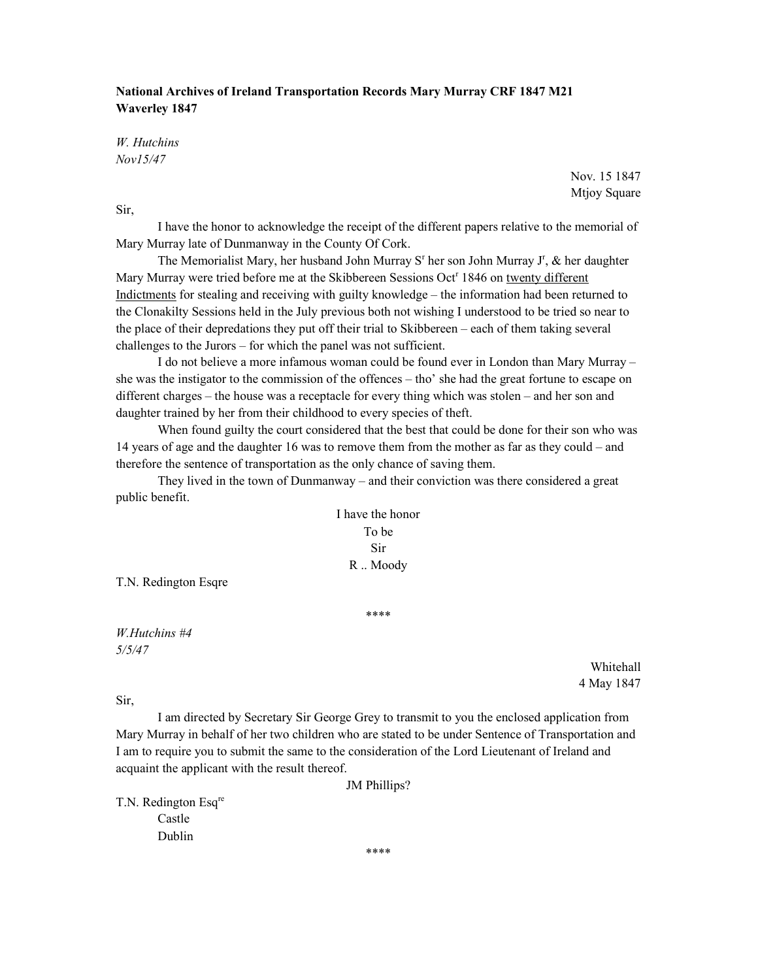## National Archives of Ireland Transportation Records Mary Murray CRF 1847 M21 Waverley 1847

W. Hutchins Nov15/47

> Nov. 15 1847 Mtjoy Square

Sir,

 I have the honor to acknowledge the receipt of the different papers relative to the memorial of Mary Murray late of Dunmanway in the County Of Cork.

The Memorialist Mary, her husband John Murray S<sup>r</sup> her son John Murray J<sup>r</sup>, & her daughter Mary Murray were tried before me at the Skibbereen Sessions Oct<sup>r</sup> 1846 on twenty different Indictments for stealing and receiving with guilty knowledge – the information had been returned to the Clonakilty Sessions held in the July previous both not wishing I understood to be tried so near to the place of their depredations they put off their trial to Skibbereen – each of them taking several challenges to the Jurors – for which the panel was not sufficient.

 I do not believe a more infamous woman could be found ever in London than Mary Murray – she was the instigator to the commission of the offences – tho' she had the great fortune to escape on different charges – the house was a receptacle for every thing which was stolen – and her son and daughter trained by her from their childhood to every species of theft.

 When found guilty the court considered that the best that could be done for their son who was 14 years of age and the daughter 16 was to remove them from the mother as far as they could – and therefore the sentence of transportation as the only chance of saving them.

 They lived in the town of Dunmanway – and their conviction was there considered a great public benefit.

> I have the honor To be Sir R .. Moody

T.N. Redington Esqre

\*\*\*\*

W.Hutchins #4 5/5/47

> Whitehall 4 May 1847

Sir,

 I am directed by Secretary Sir George Grey to transmit to you the enclosed application from Mary Murray in behalf of her two children who are stated to be under Sentence of Transportation and I am to require you to submit the same to the consideration of the Lord Lieutenant of Ireland and acquaint the applicant with the result thereof.

JM Phillips?

T.N. Redington Esq<sup>re</sup>

Castle Dublin

\*\*\*\*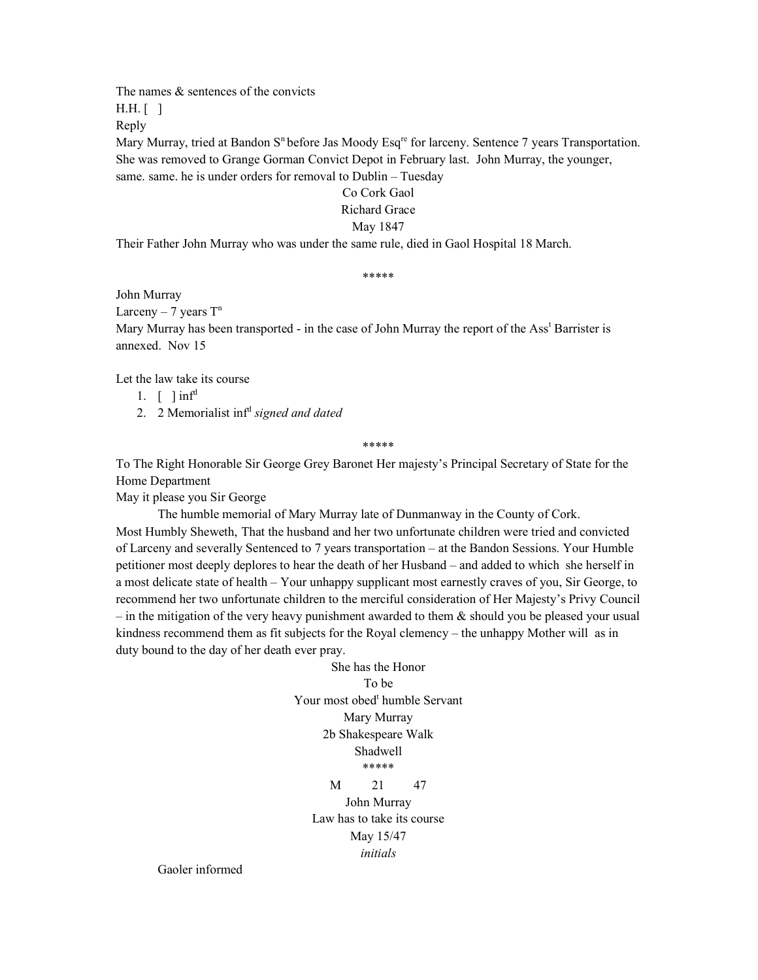The names  $\&$  sentences of the convicts

H.H. [ ]

Reply

Mary Murray, tried at Bandon S<sup>n</sup> before Jas Moody Esq<sup>re</sup> for larceny. Sentence 7 years Transportation. She was removed to Grange Gorman Convict Depot in February last. John Murray, the younger, same. same. he is under orders for removal to Dublin – Tuesday

### Co Cork Gaol

### Richard Grace

## May 1847

Their Father John Murray who was under the same rule, died in Gaol Hospital 18 March.

#### \*\*\*\*\*

John Murray

Larceny – 7 years  $T<sup>n</sup>$ 

Mary Murray has been transported - in the case of John Murray the report of the Ass<sup>t</sup> Barrister is annexed. Nov 15

Let the law take its course

1.  $\lceil$   $\ln f^d$ 

2. 2 Memorialist inf<sup>d</sup> signed and dated

\*\*\*\*\*

To The Right Honorable Sir George Grey Baronet Her majesty's Principal Secretary of State for the Home Department

May it please you Sir George

 The humble memorial of Mary Murray late of Dunmanway in the County of Cork. Most Humbly Sheweth, That the husband and her two unfortunate children were tried and convicted of Larceny and severally Sentenced to 7 years transportation – at the Bandon Sessions. Your Humble petitioner most deeply deplores to hear the death of her Husband – and added to which she herself in a most delicate state of health – Your unhappy supplicant most earnestly craves of you, Sir George, to recommend her two unfortunate children to the merciful consideration of Her Majesty's Privy Council – in the mitigation of the very heavy punishment awarded to them  $\&$  should you be pleased your usual kindness recommend them as fit subjects for the Royal clemency – the unhappy Mother will as in duty bound to the day of her death ever pray.

> She has the Honor To be Your most obed<sup>t</sup> humble Servant Mary Murray 2b Shakespeare Walk Shadwell \*\*\*\*\* M 21 47 John Murray

Law has to take its course May 15/47 initials

Gaoler informed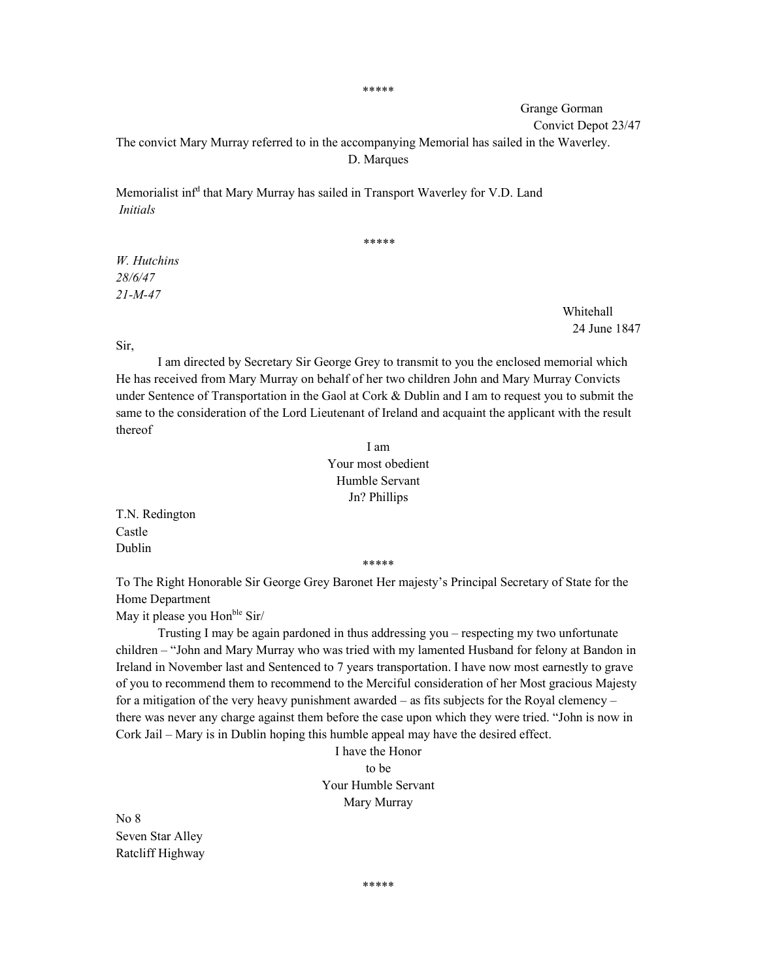\*\*\*\*\*

Grange Gorman

Convict Depot 23/47

The convict Mary Murray referred to in the accompanying Memorial has sailed in the Waverley. D. Marques

Memorialist inf<sup>d</sup> that Mary Murray has sailed in Transport Waverley for V.D. Land Initials

\*\*\*\*\*

W. Hutchins 28/6/47 21-M-47

> Whitehall 24 June 1847

Sir,

 I am directed by Secretary Sir George Grey to transmit to you the enclosed memorial which He has received from Mary Murray on behalf of her two children John and Mary Murray Convicts under Sentence of Transportation in the Gaol at Cork  $&$  Dublin and I am to request you to submit the same to the consideration of the Lord Lieutenant of Ireland and acquaint the applicant with the result thereof

> I am Your most obedient Humble Servant Jn? Phillips

T.N. Redington Castle Dublin

\*\*\*\*\*

To The Right Honorable Sir George Grey Baronet Her majesty's Principal Secretary of State for the Home Department

May it please you Hon<sup>ble</sup> Sir/

 Trusting I may be again pardoned in thus addressing you – respecting my two unfortunate children – "John and Mary Murray who was tried with my lamented Husband for felony at Bandon in Ireland in November last and Sentenced to 7 years transportation. I have now most earnestly to grave of you to recommend them to recommend to the Merciful consideration of her Most gracious Majesty for a mitigation of the very heavy punishment awarded – as fits subjects for the Royal clemency – there was never any charge against them before the case upon which they were tried. "John is now in Cork Jail – Mary is in Dublin hoping this humble appeal may have the desired effect.

> I have the Honor to be Your Humble Servant Mary Murray

No 8 Seven Star Alley Ratcliff Highway

\*\*\*\*\*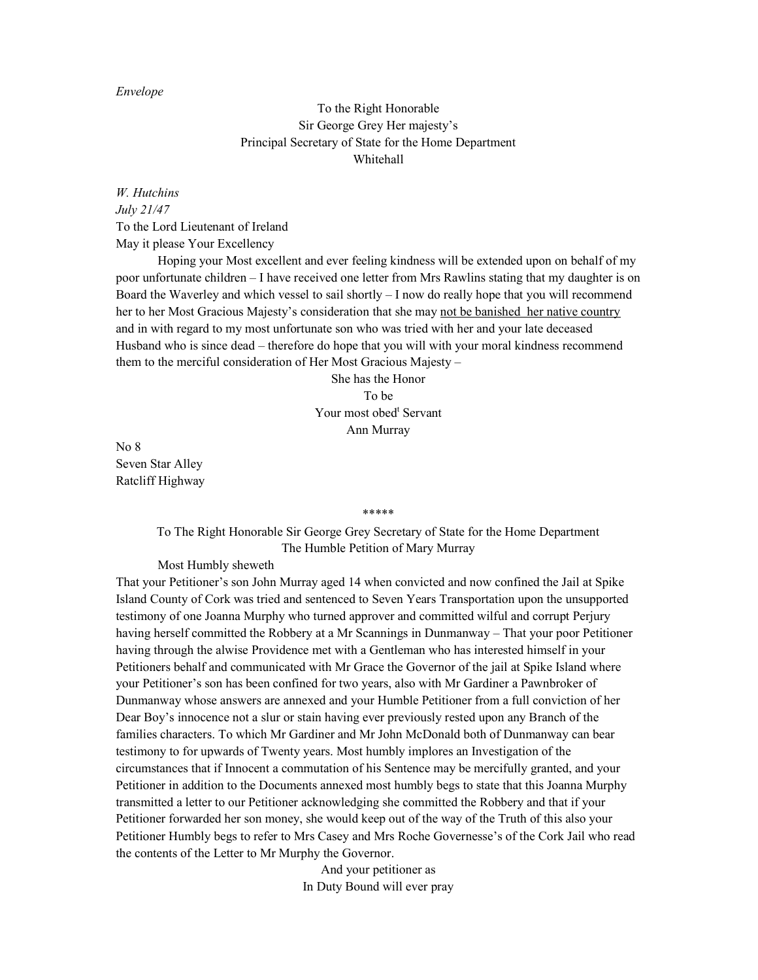### Envelope

# To the Right Honorable Sir George Grey Her majesty's Principal Secretary of State for the Home Department Whitehall

W. Hutchins July 21/47 To the Lord Lieutenant of Ireland May it please Your Excellency

 Hoping your Most excellent and ever feeling kindness will be extended upon on behalf of my poor unfortunate children – I have received one letter from Mrs Rawlins stating that my daughter is on Board the Waverley and which vessel to sail shortly – I now do really hope that you will recommend her to her Most Gracious Majesty's consideration that she may not be banished her native country and in with regard to my most unfortunate son who was tried with her and your late deceased Husband who is since dead – therefore do hope that you will with your moral kindness recommend them to the merciful consideration of Her Most Gracious Majesty –

> She has the Honor To be Your most obed<sup>t</sup> Servant Ann Murray

No 8 Seven Star Alley Ratcliff Highway

#### \*\*\*\*\*

To The Right Honorable Sir George Grey Secretary of State for the Home Department The Humble Petition of Mary Murray

Most Humbly sheweth

That your Petitioner's son John Murray aged 14 when convicted and now confined the Jail at Spike Island County of Cork was tried and sentenced to Seven Years Transportation upon the unsupported testimony of one Joanna Murphy who turned approver and committed wilful and corrupt Perjury having herself committed the Robbery at a Mr Scannings in Dunmanway – That your poor Petitioner having through the alwise Providence met with a Gentleman who has interested himself in your Petitioners behalf and communicated with Mr Grace the Governor of the jail at Spike Island where your Petitioner's son has been confined for two years, also with Mr Gardiner a Pawnbroker of Dunmanway whose answers are annexed and your Humble Petitioner from a full conviction of her Dear Boy's innocence not a slur or stain having ever previously rested upon any Branch of the families characters. To which Mr Gardiner and Mr John McDonald both of Dunmanway can bear testimony to for upwards of Twenty years. Most humbly implores an Investigation of the circumstances that if Innocent a commutation of his Sentence may be mercifully granted, and your Petitioner in addition to the Documents annexed most humbly begs to state that this Joanna Murphy transmitted a letter to our Petitioner acknowledging she committed the Robbery and that if your Petitioner forwarded her son money, she would keep out of the way of the Truth of this also your Petitioner Humbly begs to refer to Mrs Casey and Mrs Roche Governesse's of the Cork Jail who read the contents of the Letter to Mr Murphy the Governor.

> And your petitioner as In Duty Bound will ever pray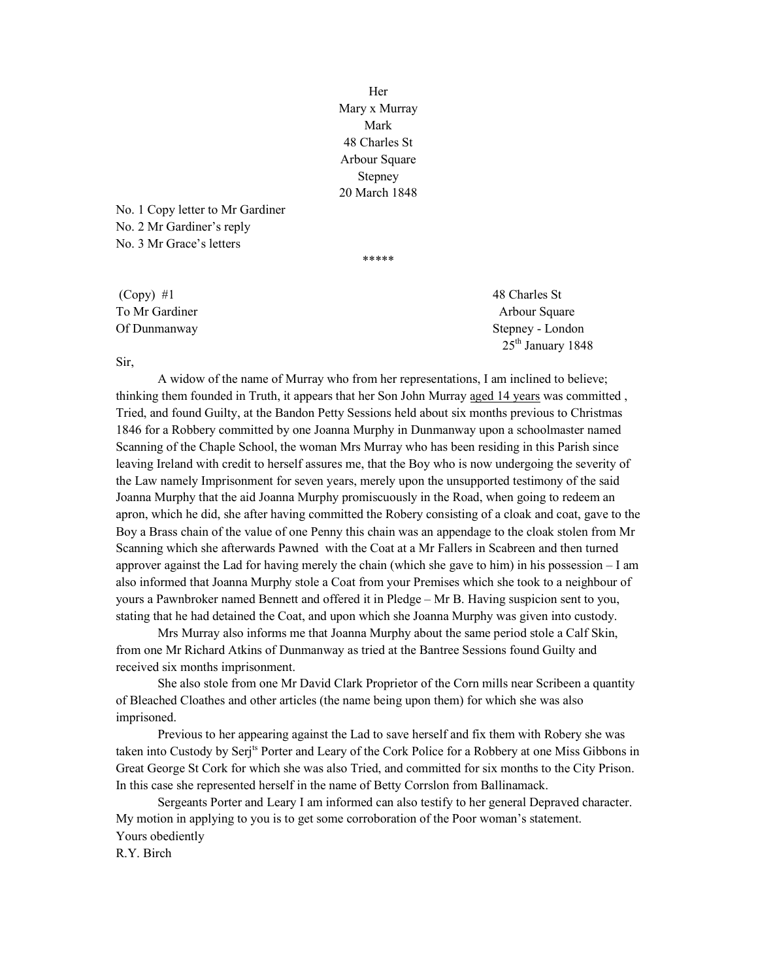Her Mary x Murray Mark 48 Charles St Arbour Square Stepney 20 March 1848

\*\*\*\*\*

No. 1 Copy letter to Mr Gardiner No. 2 Mr Gardiner's reply No. 3 Mr Grace's letters

 $\text{ (Copy) } #1$  48 Charles St

To Mr Gardiner Arbour Square Arbour Square Of Dunmanway Stepney - London 25<sup>th</sup> January 1848

### Sir,

 A widow of the name of Murray who from her representations, I am inclined to believe; thinking them founded in Truth, it appears that her Son John Murray aged 14 years was committed , Tried, and found Guilty, at the Bandon Petty Sessions held about six months previous to Christmas 1846 for a Robbery committed by one Joanna Murphy in Dunmanway upon a schoolmaster named Scanning of the Chaple School, the woman Mrs Murray who has been residing in this Parish since leaving Ireland with credit to herself assures me, that the Boy who is now undergoing the severity of the Law namely Imprisonment for seven years, merely upon the unsupported testimony of the said Joanna Murphy that the aid Joanna Murphy promiscuously in the Road, when going to redeem an apron, which he did, she after having committed the Robery consisting of a cloak and coat, gave to the Boy a Brass chain of the value of one Penny this chain was an appendage to the cloak stolen from Mr Scanning which she afterwards Pawned with the Coat at a Mr Fallers in Scabreen and then turned approver against the Lad for having merely the chain (which she gave to him) in his possession – I am also informed that Joanna Murphy stole a Coat from your Premises which she took to a neighbour of yours a Pawnbroker named Bennett and offered it in Pledge – Mr B. Having suspicion sent to you, stating that he had detained the Coat, and upon which she Joanna Murphy was given into custody.

 Mrs Murray also informs me that Joanna Murphy about the same period stole a Calf Skin, from one Mr Richard Atkins of Dunmanway as tried at the Bantree Sessions found Guilty and received six months imprisonment.

 She also stole from one Mr David Clark Proprietor of the Corn mills near Scribeen a quantity of Bleached Cloathes and other articles (the name being upon them) for which she was also imprisoned.

 Previous to her appearing against the Lad to save herself and fix them with Robery she was taken into Custody by Serj<sup>ts</sup> Porter and Leary of the Cork Police for a Robbery at one Miss Gibbons in Great George St Cork for which she was also Tried, and committed for six months to the City Prison. In this case she represented herself in the name of Betty Corrslon from Ballinamack.

 Sergeants Porter and Leary I am informed can also testify to her general Depraved character. My motion in applying to you is to get some corroboration of the Poor woman's statement. Yours obediently

R.Y. Birch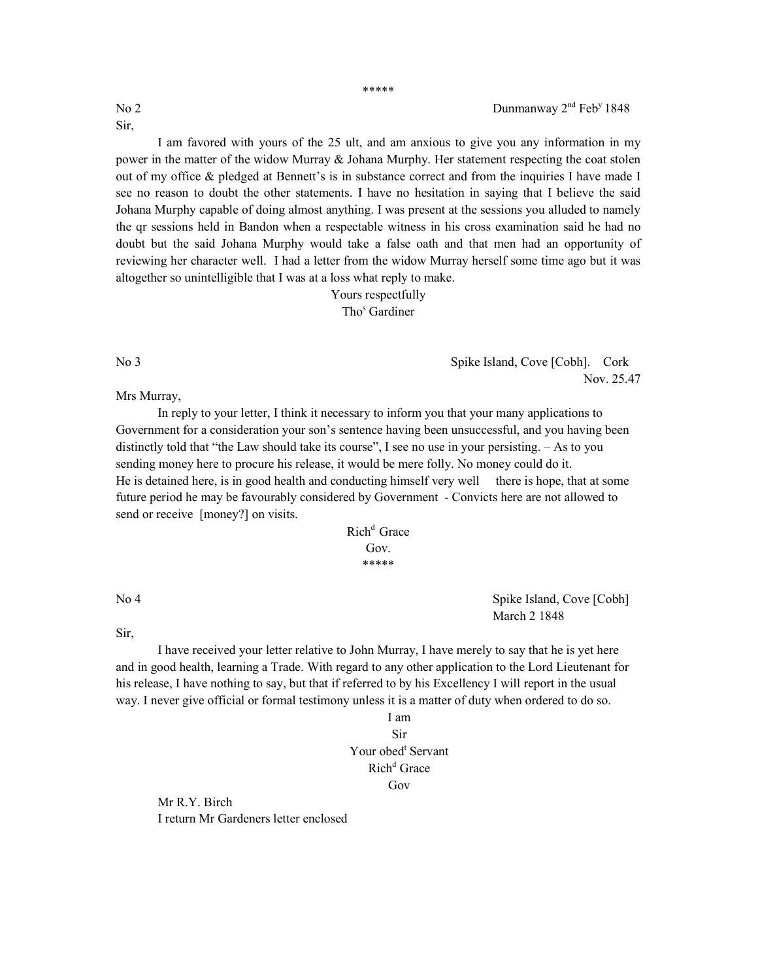Sir,

\*\*\*\*\*

 I am favored with yours of the 25 ult, and am anxious to give you any information in my power in the matter of the widow Murray & Johana Murphy. Her statement respecting the coat stolen out of my office & pledged at Bennett's is in substance correct and from the inquiries I have made I see no reason to doubt the other statements. I have no hesitation in saying that I believe the said Johana Murphy capable of doing almost anything. I was present at the sessions you alluded to namely the qr sessions held in Bandon when a respectable witness in his cross examination said he had no doubt but the said Johana Murphy would take a false oath and that men had an opportunity of reviewing her character well. I had a letter from the widow Murray herself some time ago but it was altogether so unintelligible that I was at a loss what reply to make.

> Yours respectfully Tho<sup>s</sup> Gardiner

No 3 Spike Island, Cove [Cobh]. Cork Nov. 25.47

Mrs Murray,

 In reply to your letter, I think it necessary to inform you that your many applications to Government for a consideration your son's sentence having been unsuccessful, and you having been distinctly told that "the Law should take its course", I see no use in your persisting. – As to you sending money here to procure his release, it would be mere folly. No money could do it. He is detained here, is in good health and conducting himself very well there is hope, that at some future period he may be favourably considered by Government - Convicts here are not allowed to send or receive [money?] on visits.

# Rich<sup>d</sup> Grace Gov \*\*\*\*\*

No 4 Spike Island, Cove [Cobh] March 2 1848

Sir,

I have received your letter relative to John Murray, I have merely to say that he is yet here and in good health, learning a Trade. With regard to any other application to the Lord Lieutenant for his release, I have nothing to say, but that if referred to by his Excellency I will report in the usual way. I never give official or formal testimony unless it is a matter of duty when ordered to do so.

# I am Sir Your obed<sup>t</sup> Servant

# Rich<sup>d</sup> Grace

## Gov

Mr R.Y. Birch I return Mr Gardeners letter enclosed